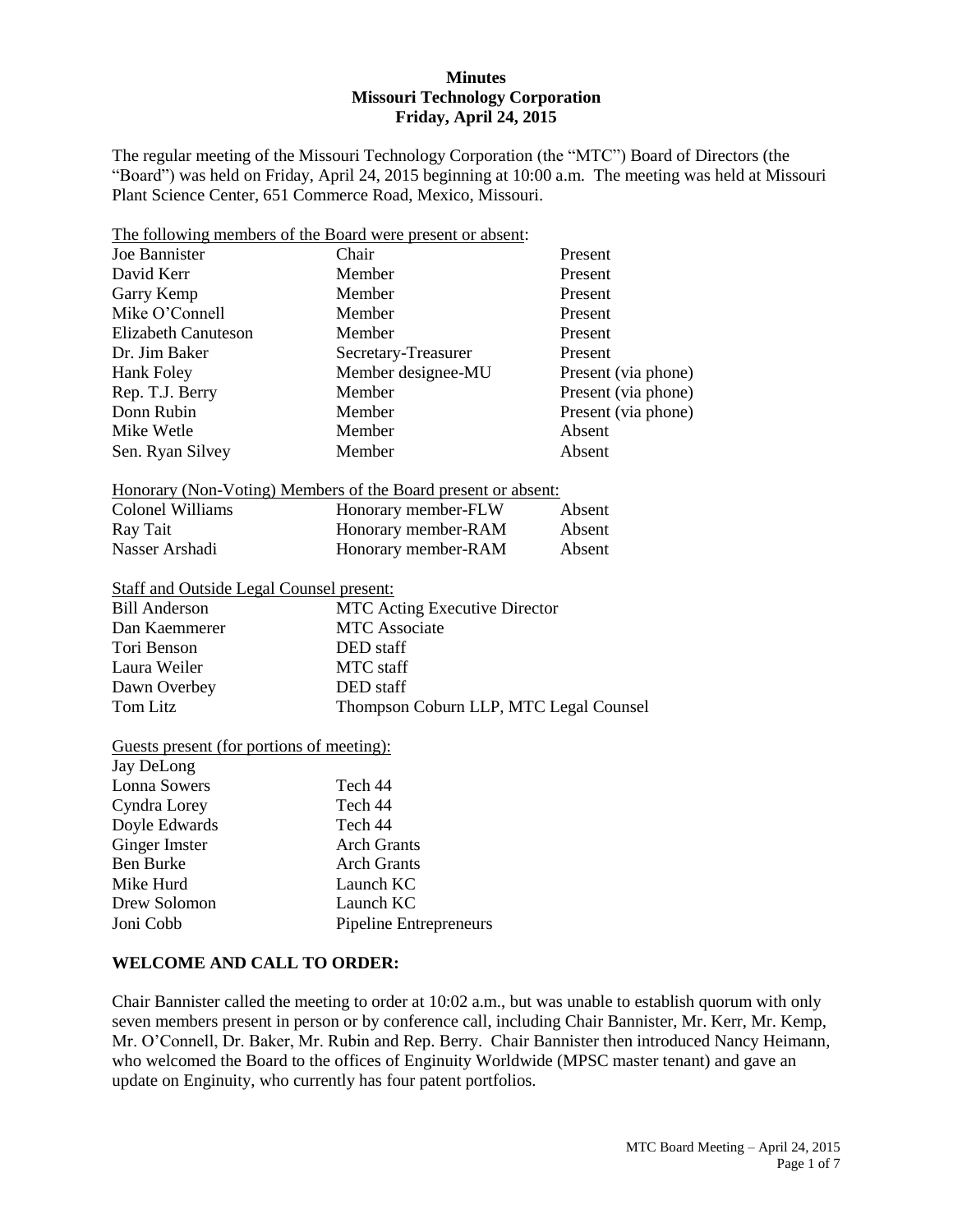### **Minutes Missouri Technology Corporation Friday, April 24, 2015**

The regular meeting of the Missouri Technology Corporation (the "MTC") Board of Directors (the "Board") was held on Friday, April 24, 2015 beginning at 10:00 a.m. The meeting was held at Missouri Plant Science Center, 651 Commerce Road, Mexico, Missouri.

| The following members of the Board were present or absent: |                                                               |                     |  |  |
|------------------------------------------------------------|---------------------------------------------------------------|---------------------|--|--|
| Joe Bannister                                              | Chair                                                         | Present             |  |  |
| David Kerr                                                 | Member<br>Present                                             |                     |  |  |
| Garry Kemp                                                 | Member                                                        | Present             |  |  |
| Mike O'Connell                                             | Member                                                        | Present             |  |  |
| Elizabeth Canuteson                                        | Member                                                        | Present             |  |  |
| Dr. Jim Baker                                              | Secretary-Treasurer                                           | Present             |  |  |
| Hank Foley                                                 | Member designee-MU                                            | Present (via phone) |  |  |
| Rep. T.J. Berry                                            | Member                                                        | Present (via phone) |  |  |
| Donn Rubin                                                 | Member                                                        | Present (via phone) |  |  |
| Mike Wetle                                                 | Member                                                        | Absent              |  |  |
| Sen. Ryan Silvey                                           | Member                                                        | Absent              |  |  |
|                                                            | Honorary (Non-Voting) Members of the Board present or absent: |                     |  |  |
| Colonel Williams                                           | Honorary member-FLW                                           | Absent              |  |  |
| Ray Tait                                                   | Honorary member-RAM                                           | Absent              |  |  |
| Nasser Arshadi                                             | Honorary member-RAM                                           | Absent              |  |  |
| <b>Staff and Outside Legal Counsel present:</b>            |                                                               |                     |  |  |
| <b>Bill Anderson</b>                                       | <b>MTC Acting Executive Director</b>                          |                     |  |  |
| Dan Kaemmerer                                              | <b>MTC</b> Associate                                          |                     |  |  |
| Tori Benson                                                | DED staff                                                     |                     |  |  |
| Laura Weiler                                               | MTC staff                                                     |                     |  |  |
| Dawn Overbey                                               | DED staff                                                     |                     |  |  |
| <b>Tom Litz</b>                                            | Thompson Coburn LLP, MTC Legal Counsel                        |                     |  |  |
| <u>Guests present (for portions of meeting):</u>           |                                                               |                     |  |  |
| Jay DeLong                                                 |                                                               |                     |  |  |
| <b>Lonna Sowers</b>                                        | Tech 44                                                       |                     |  |  |
|                                                            |                                                               |                     |  |  |

| Lonna Sowers  | 1 ecn 44               |
|---------------|------------------------|
| Cyndra Lorey  | Tech 44                |
| Doyle Edwards | Tech 44                |
| Ginger Imster | <b>Arch Grants</b>     |
| Ben Burke     | <b>Arch Grants</b>     |
| Mike Hurd     | Launch KC              |
| Drew Solomon  | Launch KC              |
| Joni Cobb     | Pipeline Entrepreneurs |
|               |                        |

### **WELCOME AND CALL TO ORDER:**

Chair Bannister called the meeting to order at 10:02 a.m., but was unable to establish quorum with only seven members present in person or by conference call, including Chair Bannister, Mr. Kerr, Mr. Kemp, Mr. O'Connell, Dr. Baker, Mr. Rubin and Rep. Berry. Chair Bannister then introduced Nancy Heimann, who welcomed the Board to the offices of Enginuity Worldwide (MPSC master tenant) and gave an update on Enginuity, who currently has four patent portfolios.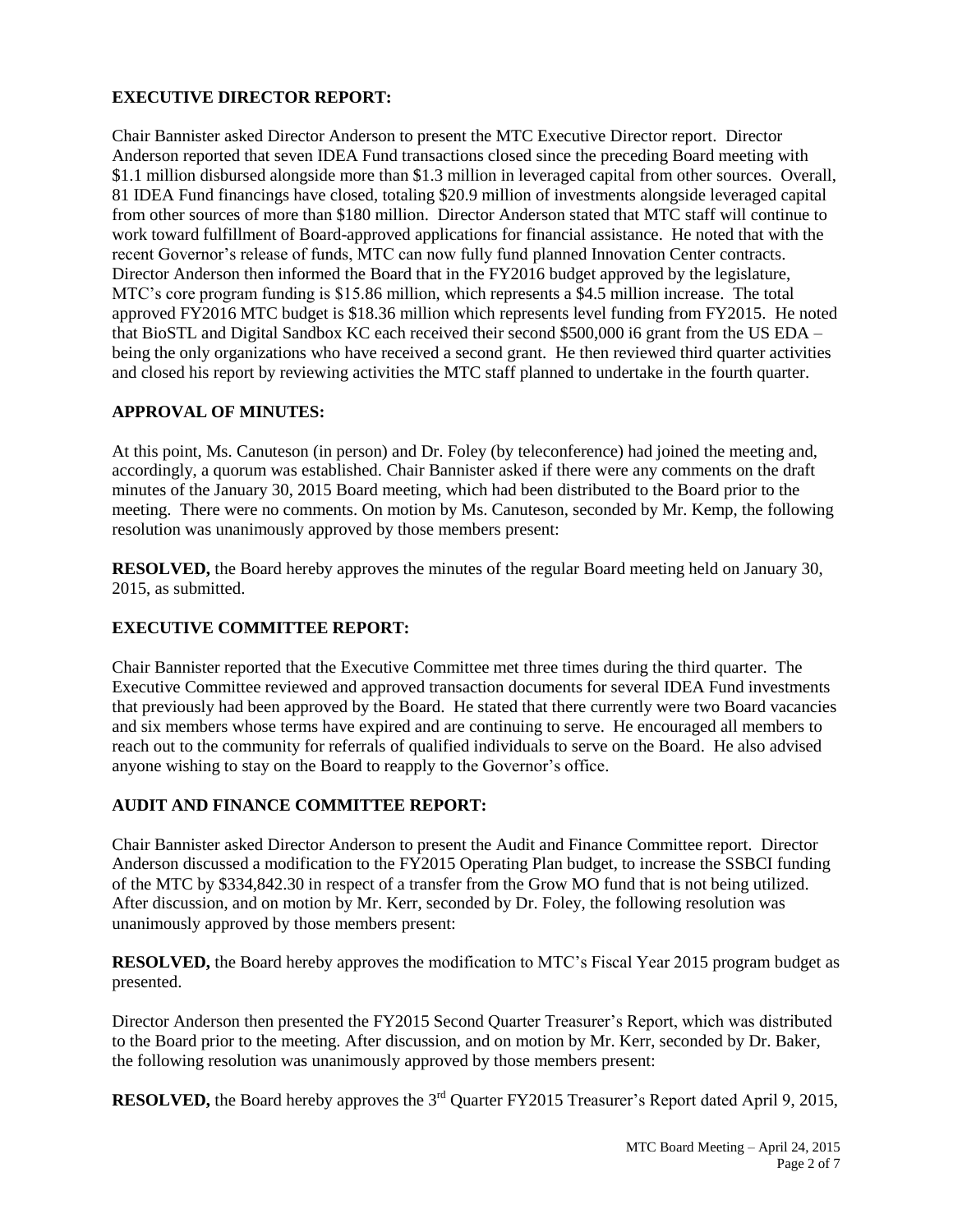## **EXECUTIVE DIRECTOR REPORT:**

Chair Bannister asked Director Anderson to present the MTC Executive Director report. Director Anderson reported that seven IDEA Fund transactions closed since the preceding Board meeting with \$1.1 million disbursed alongside more than \$1.3 million in leveraged capital from other sources. Overall, 81 IDEA Fund financings have closed, totaling \$20.9 million of investments alongside leveraged capital from other sources of more than \$180 million. Director Anderson stated that MTC staff will continue to work toward fulfillment of Board-approved applications for financial assistance. He noted that with the recent Governor's release of funds, MTC can now fully fund planned Innovation Center contracts. Director Anderson then informed the Board that in the FY2016 budget approved by the legislature, MTC's core program funding is \$15.86 million, which represents a \$4.5 million increase. The total approved FY2016 MTC budget is \$18.36 million which represents level funding from FY2015. He noted that BioSTL and Digital Sandbox KC each received their second \$500,000 i6 grant from the US EDA – being the only organizations who have received a second grant. He then reviewed third quarter activities and closed his report by reviewing activities the MTC staff planned to undertake in the fourth quarter.

## **APPROVAL OF MINUTES:**

At this point, Ms. Canuteson (in person) and Dr. Foley (by teleconference) had joined the meeting and, accordingly, a quorum was established. Chair Bannister asked if there were any comments on the draft minutes of the January 30, 2015 Board meeting, which had been distributed to the Board prior to the meeting. There were no comments. On motion by Ms. Canuteson, seconded by Mr. Kemp, the following resolution was unanimously approved by those members present:

**RESOLVED,** the Board hereby approves the minutes of the regular Board meeting held on January 30, 2015, as submitted.

# **EXECUTIVE COMMITTEE REPORT:**

Chair Bannister reported that the Executive Committee met three times during the third quarter. The Executive Committee reviewed and approved transaction documents for several IDEA Fund investments that previously had been approved by the Board. He stated that there currently were two Board vacancies and six members whose terms have expired and are continuing to serve. He encouraged all members to reach out to the community for referrals of qualified individuals to serve on the Board. He also advised anyone wishing to stay on the Board to reapply to the Governor's office.

### **AUDIT AND FINANCE COMMITTEE REPORT:**

Chair Bannister asked Director Anderson to present the Audit and Finance Committee report. Director Anderson discussed a modification to the FY2015 Operating Plan budget, to increase the SSBCI funding of the MTC by \$334,842.30 in respect of a transfer from the Grow MO fund that is not being utilized. After discussion, and on motion by Mr. Kerr, seconded by Dr. Foley, the following resolution was unanimously approved by those members present:

**RESOLVED,** the Board hereby approves the modification to MTC's Fiscal Year 2015 program budget as presented.

Director Anderson then presented the FY2015 Second Quarter Treasurer's Report, which was distributed to the Board prior to the meeting. After discussion, and on motion by Mr. Kerr, seconded by Dr. Baker, the following resolution was unanimously approved by those members present:

**RESOLVED,** the Board hereby approves the 3<sup>rd</sup> Quarter FY2015 Treasurer's Report dated April 9, 2015,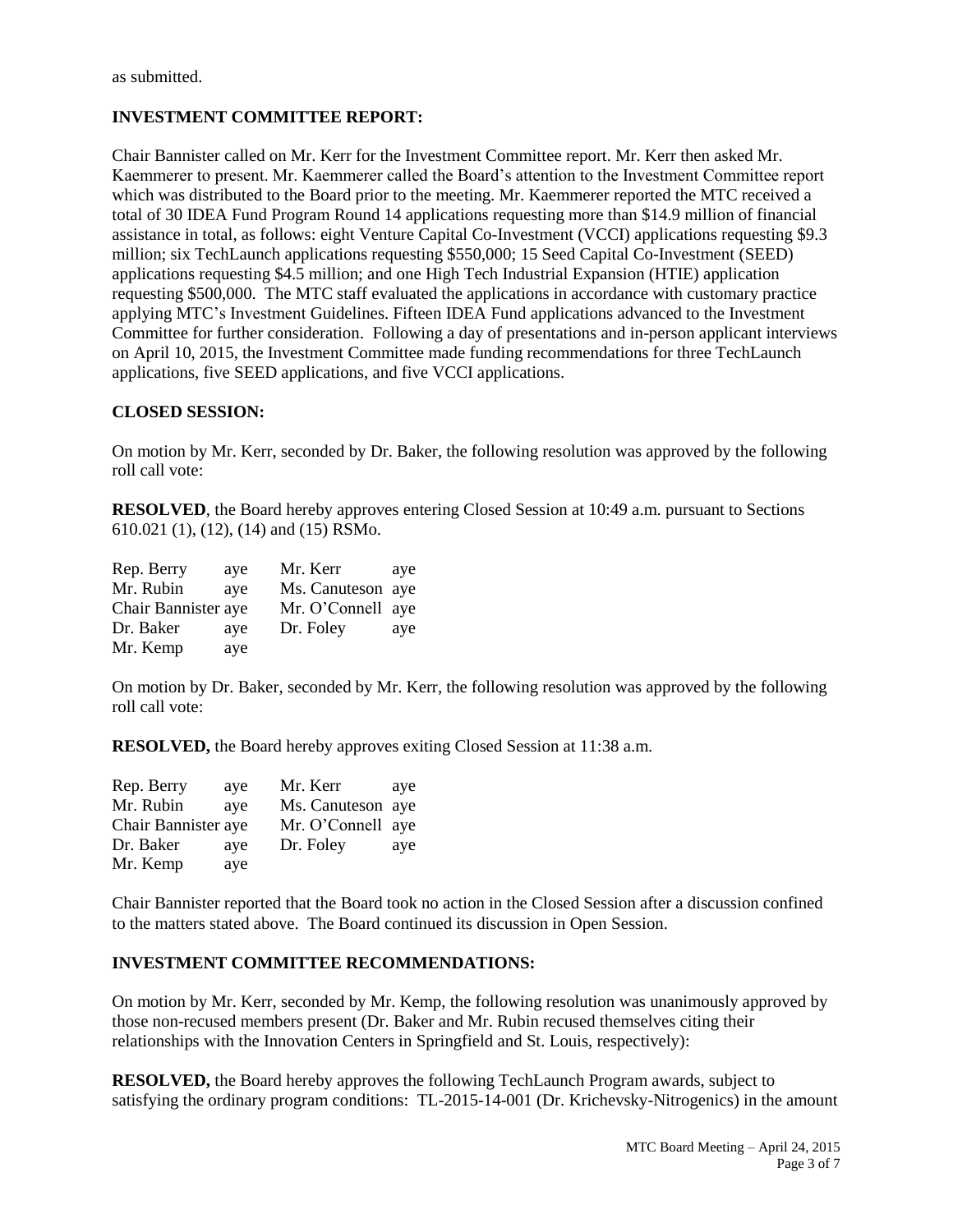as submitted.

# **INVESTMENT COMMITTEE REPORT:**

Chair Bannister called on Mr. Kerr for the Investment Committee report. Mr. Kerr then asked Mr. Kaemmerer to present. Mr. Kaemmerer called the Board's attention to the Investment Committee report which was distributed to the Board prior to the meeting. Mr. Kaemmerer reported the MTC received a total of 30 IDEA Fund Program Round 14 applications requesting more than \$14.9 million of financial assistance in total, as follows: eight Venture Capital Co-Investment (VCCI) applications requesting \$9.3 million; six TechLaunch applications requesting \$550,000; 15 Seed Capital Co-Investment (SEED) applications requesting \$4.5 million; and one High Tech Industrial Expansion (HTIE) application requesting \$500,000. The MTC staff evaluated the applications in accordance with customary practice applying MTC's Investment Guidelines. Fifteen IDEA Fund applications advanced to the Investment Committee for further consideration. Following a day of presentations and in-person applicant interviews on April 10, 2015, the Investment Committee made funding recommendations for three TechLaunch applications, five SEED applications, and five VCCI applications.

## **CLOSED SESSION:**

On motion by Mr. Kerr, seconded by Dr. Baker, the following resolution was approved by the following roll call vote:

**RESOLVED**, the Board hereby approves entering Closed Session at 10:49 a.m. pursuant to Sections 610.021 (1), (12), (14) and (15) RSMo.

| Rep. Berry          | ave | Mr. Kerr          | ave |
|---------------------|-----|-------------------|-----|
| Mr. Rubin           | ave | Ms. Canuteson aye |     |
| Chair Bannister aye |     | Mr. O'Connell aye |     |
| Dr. Baker           | ave | Dr. Foley         | aye |
| Mr. Kemp            | aye |                   |     |

On motion by Dr. Baker, seconded by Mr. Kerr, the following resolution was approved by the following roll call vote:

**RESOLVED,** the Board hereby approves exiting Closed Session at 11:38 a.m.

| Rep. Berry          | aye | Mr. Kerr          | ave |
|---------------------|-----|-------------------|-----|
| Mr. Rubin           | ave | Ms. Canuteson aye |     |
| Chair Bannister aye |     | Mr. O'Connell aye |     |
| Dr. Baker           | ave | Dr. Foley         | aye |
| Mr. Kemp            | aye |                   |     |

Chair Bannister reported that the Board took no action in the Closed Session after a discussion confined to the matters stated above. The Board continued its discussion in Open Session.

### **INVESTMENT COMMITTEE RECOMMENDATIONS:**

On motion by Mr. Kerr, seconded by Mr. Kemp, the following resolution was unanimously approved by those non-recused members present (Dr. Baker and Mr. Rubin recused themselves citing their relationships with the Innovation Centers in Springfield and St. Louis, respectively):

**RESOLVED,** the Board hereby approves the following TechLaunch Program awards, subject to satisfying the ordinary program conditions: TL-2015-14-001 (Dr. Krichevsky-Nitrogenics) in the amount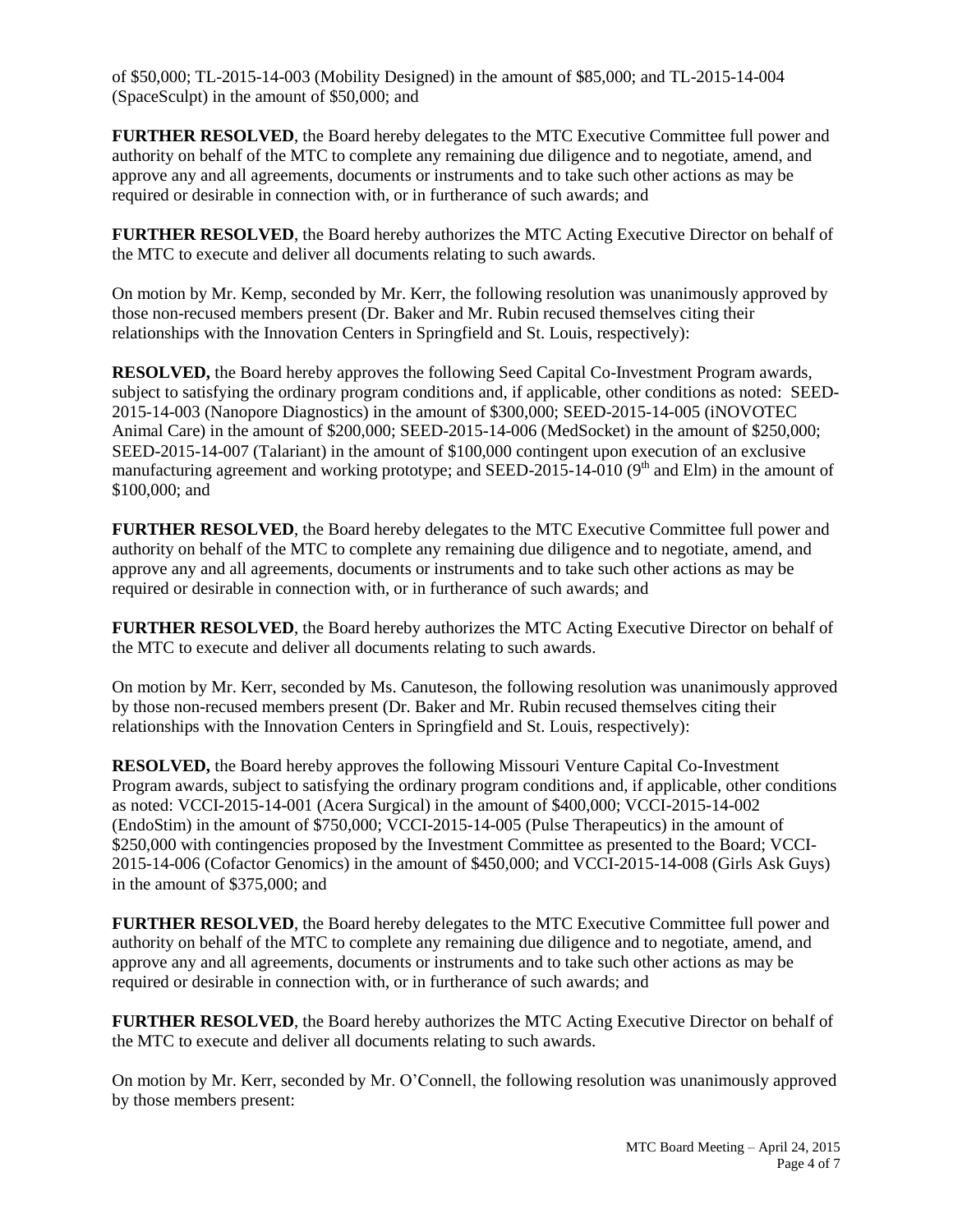of \$50,000; TL-2015-14-003 (Mobility Designed) in the amount of \$85,000; and TL-2015-14-004 (SpaceSculpt) in the amount of \$50,000; and

**FURTHER RESOLVED**, the Board hereby delegates to the MTC Executive Committee full power and authority on behalf of the MTC to complete any remaining due diligence and to negotiate, amend, and approve any and all agreements, documents or instruments and to take such other actions as may be required or desirable in connection with, or in furtherance of such awards; and

**FURTHER RESOLVED**, the Board hereby authorizes the MTC Acting Executive Director on behalf of the MTC to execute and deliver all documents relating to such awards.

On motion by Mr. Kemp, seconded by Mr. Kerr, the following resolution was unanimously approved by those non-recused members present (Dr. Baker and Mr. Rubin recused themselves citing their relationships with the Innovation Centers in Springfield and St. Louis, respectively):

**RESOLVED,** the Board hereby approves the following Seed Capital Co-Investment Program awards, subject to satisfying the ordinary program conditions and, if applicable, other conditions as noted: SEED-2015-14-003 (Nanopore Diagnostics) in the amount of \$300,000; SEED-2015-14-005 (iNOVOTEC Animal Care) in the amount of \$200,000; SEED-2015-14-006 (MedSocket) in the amount of \$250,000; SEED-2015-14-007 (Talariant) in the amount of \$100,000 contingent upon execution of an exclusive manufacturing agreement and working prototype; and SEED-2015-14-010 ( $9<sup>th</sup>$  and Elm) in the amount of \$100,000; and

**FURTHER RESOLVED**, the Board hereby delegates to the MTC Executive Committee full power and authority on behalf of the MTC to complete any remaining due diligence and to negotiate, amend, and approve any and all agreements, documents or instruments and to take such other actions as may be required or desirable in connection with, or in furtherance of such awards; and

**FURTHER RESOLVED**, the Board hereby authorizes the MTC Acting Executive Director on behalf of the MTC to execute and deliver all documents relating to such awards.

On motion by Mr. Kerr, seconded by Ms. Canuteson, the following resolution was unanimously approved by those non-recused members present (Dr. Baker and Mr. Rubin recused themselves citing their relationships with the Innovation Centers in Springfield and St. Louis, respectively):

**RESOLVED,** the Board hereby approves the following Missouri Venture Capital Co-Investment Program awards, subject to satisfying the ordinary program conditions and, if applicable, other conditions as noted: VCCI-2015-14-001 (Acera Surgical) in the amount of \$400,000; VCCI-2015-14-002 (EndoStim) in the amount of \$750,000; VCCI-2015-14-005 (Pulse Therapeutics) in the amount of \$250,000 with contingencies proposed by the Investment Committee as presented to the Board; VCCI-2015-14-006 (Cofactor Genomics) in the amount of \$450,000; and VCCI-2015-14-008 (Girls Ask Guys) in the amount of \$375,000; and

**FURTHER RESOLVED**, the Board hereby delegates to the MTC Executive Committee full power and authority on behalf of the MTC to complete any remaining due diligence and to negotiate, amend, and approve any and all agreements, documents or instruments and to take such other actions as may be required or desirable in connection with, or in furtherance of such awards; and

**FURTHER RESOLVED**, the Board hereby authorizes the MTC Acting Executive Director on behalf of the MTC to execute and deliver all documents relating to such awards.

On motion by Mr. Kerr, seconded by Mr. O'Connell, the following resolution was unanimously approved by those members present: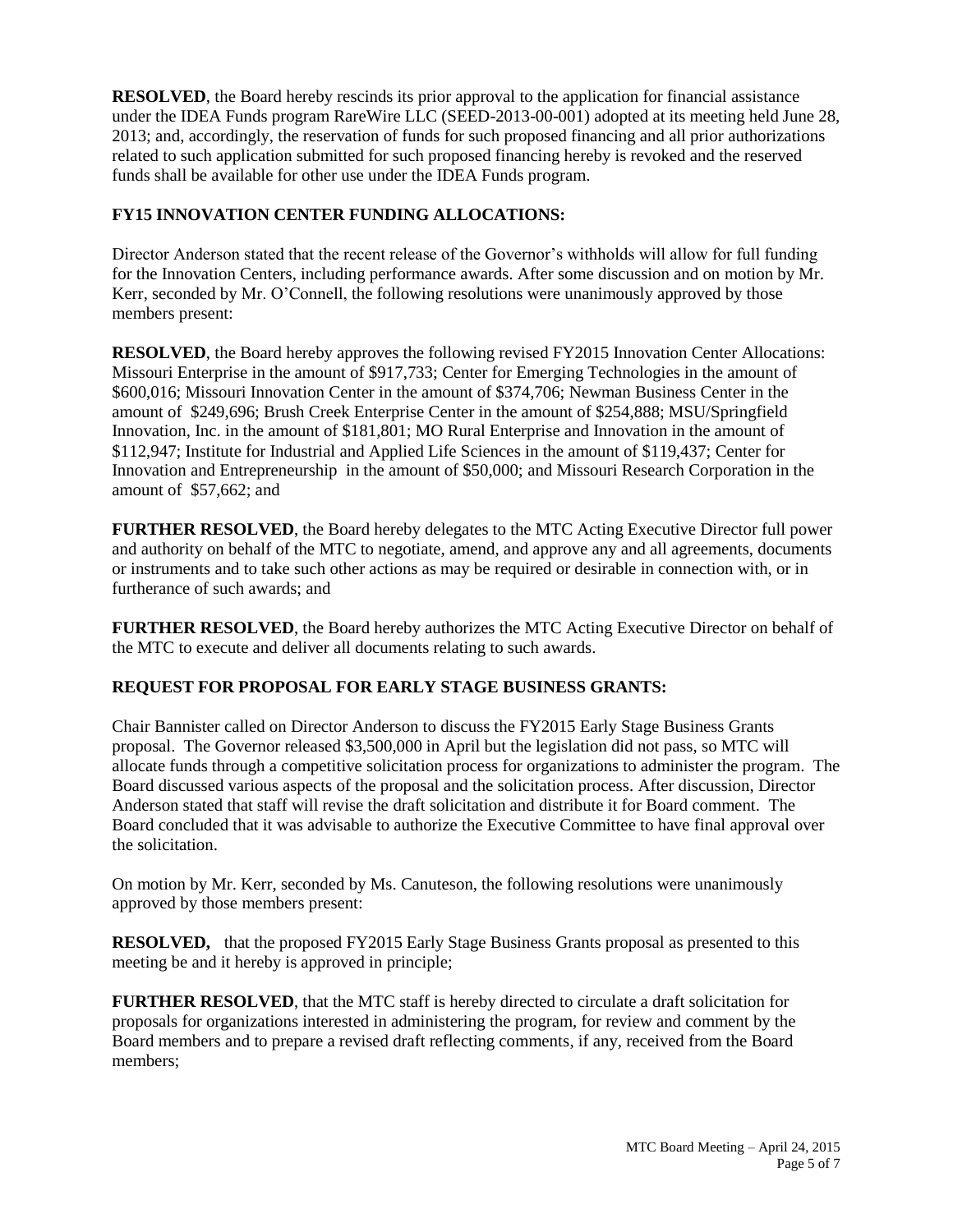**RESOLVED**, the Board hereby rescinds its prior approval to the application for financial assistance under the IDEA Funds program RareWire LLC (SEED-2013-00-001) adopted at its meeting held June 28, 2013; and, accordingly, the reservation of funds for such proposed financing and all prior authorizations related to such application submitted for such proposed financing hereby is revoked and the reserved funds shall be available for other use under the IDEA Funds program.

## **FY15 INNOVATION CENTER FUNDING ALLOCATIONS:**

Director Anderson stated that the recent release of the Governor's withholds will allow for full funding for the Innovation Centers, including performance awards. After some discussion and on motion by Mr. Kerr, seconded by Mr. O'Connell, the following resolutions were unanimously approved by those members present:

**RESOLVED**, the Board hereby approves the following revised FY2015 Innovation Center Allocations: Missouri Enterprise in the amount of \$917,733; Center for Emerging Technologies in the amount of \$600,016; Missouri Innovation Center in the amount of \$374,706; Newman Business Center in the amount of \$249,696; Brush Creek Enterprise Center in the amount of \$254,888; MSU/Springfield Innovation, Inc. in the amount of \$181,801; MO Rural Enterprise and Innovation in the amount of \$112,947; Institute for Industrial and Applied Life Sciences in the amount of \$119,437; Center for Innovation and Entrepreneurship in the amount of \$50,000; and Missouri Research Corporation in the amount of \$57,662; and

**FURTHER RESOLVED**, the Board hereby delegates to the MTC Acting Executive Director full power and authority on behalf of the MTC to negotiate, amend, and approve any and all agreements, documents or instruments and to take such other actions as may be required or desirable in connection with, or in furtherance of such awards; and

**FURTHER RESOLVED**, the Board hereby authorizes the MTC Acting Executive Director on behalf of the MTC to execute and deliver all documents relating to such awards.

# **REQUEST FOR PROPOSAL FOR EARLY STAGE BUSINESS GRANTS:**

Chair Bannister called on Director Anderson to discuss the FY2015 Early Stage Business Grants proposal. The Governor released \$3,500,000 in April but the legislation did not pass, so MTC will allocate funds through a competitive solicitation process for organizations to administer the program. The Board discussed various aspects of the proposal and the solicitation process. After discussion, Director Anderson stated that staff will revise the draft solicitation and distribute it for Board comment. The Board concluded that it was advisable to authorize the Executive Committee to have final approval over the solicitation.

On motion by Mr. Kerr, seconded by Ms. Canuteson, the following resolutions were unanimously approved by those members present:

**RESOLVED,** that the proposed FY2015 Early Stage Business Grants proposal as presented to this meeting be and it hereby is approved in principle;

**FURTHER RESOLVED**, that the MTC staff is hereby directed to circulate a draft solicitation for proposals for organizations interested in administering the program, for review and comment by the Board members and to prepare a revised draft reflecting comments, if any, received from the Board members;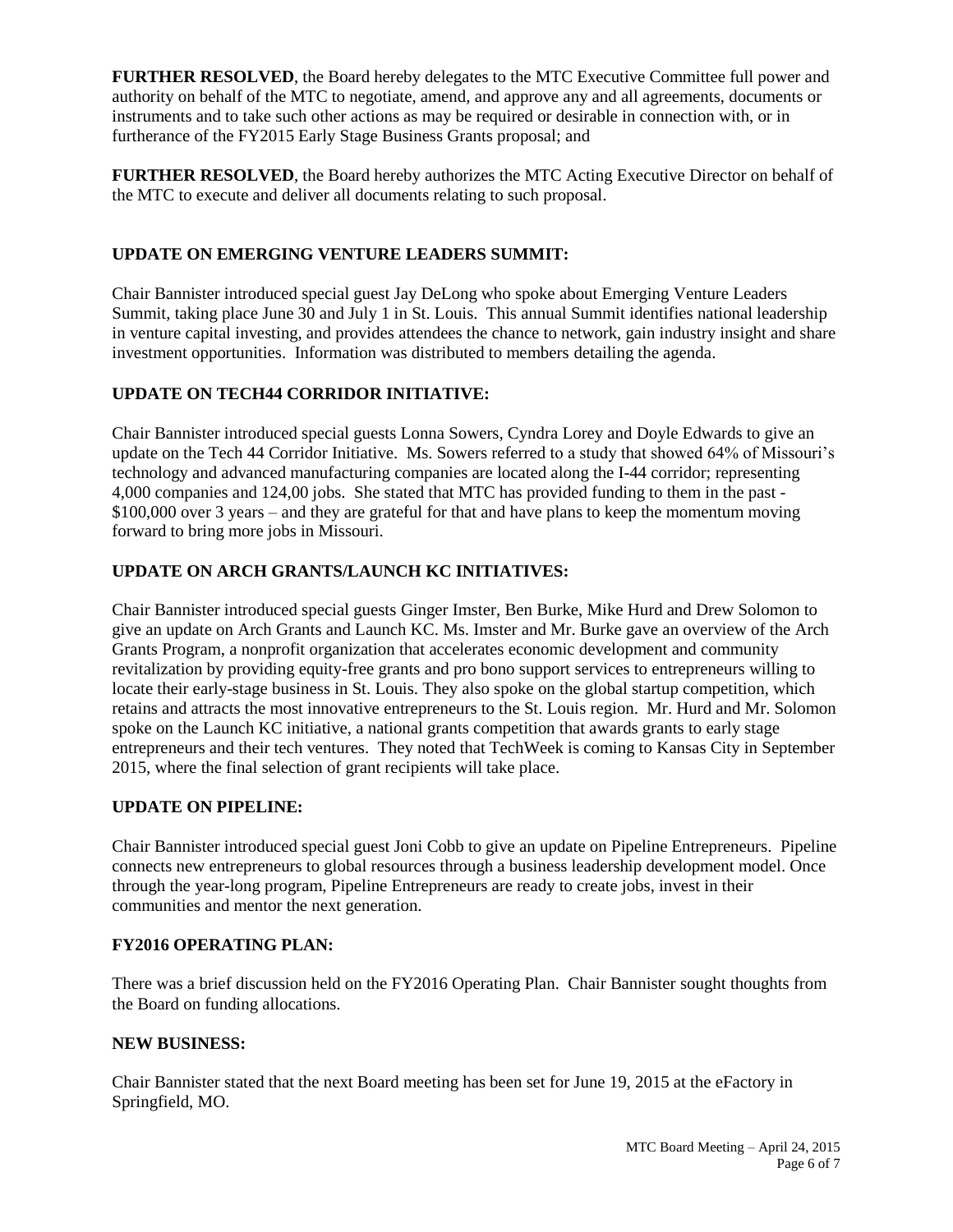**FURTHER RESOLVED**, the Board hereby delegates to the MTC Executive Committee full power and authority on behalf of the MTC to negotiate, amend, and approve any and all agreements, documents or instruments and to take such other actions as may be required or desirable in connection with, or in furtherance of the FY2015 Early Stage Business Grants proposal; and

**FURTHER RESOLVED**, the Board hereby authorizes the MTC Acting Executive Director on behalf of the MTC to execute and deliver all documents relating to such proposal.

## **UPDATE ON EMERGING VENTURE LEADERS SUMMIT:**

Chair Bannister introduced special guest Jay DeLong who spoke about Emerging Venture Leaders Summit, taking place June 30 and July 1 in St. Louis. This annual Summit identifies national leadership in venture capital investing, and provides attendees the chance to network, gain industry insight and share investment opportunities. Information was distributed to members detailing the agenda.

# **UPDATE ON TECH44 CORRIDOR INITIATIVE:**

Chair Bannister introduced special guests Lonna Sowers, Cyndra Lorey and Doyle Edwards to give an update on the Tech 44 Corridor Initiative. Ms. Sowers referred to a study that showed 64% of Missouri's technology and advanced manufacturing companies are located along the I-44 corridor; representing 4,000 companies and 124,00 jobs. She stated that MTC has provided funding to them in the past - \$100,000 over 3 years – and they are grateful for that and have plans to keep the momentum moving forward to bring more jobs in Missouri.

## **UPDATE ON ARCH GRANTS/LAUNCH KC INITIATIVES:**

Chair Bannister introduced special guests Ginger Imster, Ben Burke, Mike Hurd and Drew Solomon to give an update on Arch Grants and Launch KC. Ms. Imster and Mr. Burke gave an overview of the Arch Grants Program, a nonprofit organization that accelerates economic development and community revitalization by providing equity-free grants and pro bono support services to entrepreneurs willing to locate their early-stage business in St. Louis. They also spoke on the global startup competition, which retains and attracts the most innovative entrepreneurs to the St. Louis region. Mr. Hurd and Mr. Solomon spoke on the Launch KC initiative, a national grants competition that awards grants to early stage entrepreneurs and their tech ventures. They noted that TechWeek is coming to Kansas City in September 2015, where the final selection of grant recipients will take place.

### **UPDATE ON PIPELINE:**

Chair Bannister introduced special guest Joni Cobb to give an update on Pipeline Entrepreneurs. Pipeline connects new entrepreneurs to global resources through a business leadership development model. Once through the year-long program, Pipeline Entrepreneurs are ready to create jobs, invest in their communities and mentor the next generation.

### **FY2016 OPERATING PLAN:**

There was a brief discussion held on the FY2016 Operating Plan. Chair Bannister sought thoughts from the Board on funding allocations.

### **NEW BUSINESS:**

Chair Bannister stated that the next Board meeting has been set for June 19, 2015 at the eFactory in Springfield, MO.